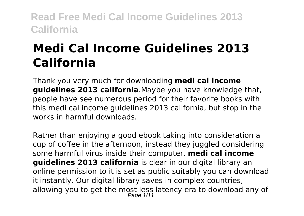# **Medi Cal Income Guidelines 2013 California**

Thank you very much for downloading **medi cal income guidelines 2013 california**.Maybe you have knowledge that, people have see numerous period for their favorite books with this medi cal income guidelines 2013 california, but stop in the works in harmful downloads.

Rather than enjoying a good ebook taking into consideration a cup of coffee in the afternoon, instead they juggled considering some harmful virus inside their computer. **medi cal income guidelines 2013 california** is clear in our digital library an online permission to it is set as public suitably you can download it instantly. Our digital library saves in complex countries, allowing you to get the most less latency era to download any of Page 1/11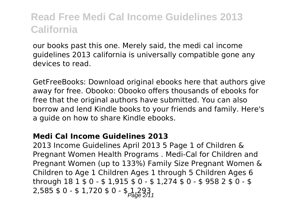our books past this one. Merely said, the medi cal income guidelines 2013 california is universally compatible gone any devices to read.

GetFreeBooks: Download original ebooks here that authors give away for free. Obooko: Obooko offers thousands of ebooks for free that the original authors have submitted. You can also borrow and lend Kindle books to your friends and family. Here's a guide on how to share Kindle ebooks.

#### **Medi Cal Income Guidelines 2013**

2013 Income Guidelines April 2013 5 Page 1 of Children & Pregnant Women Health Programs . Medi-Cal for Children and Pregnant Women (up to 133%) Family Size Pregnant Women & Children to Age 1 Children Ages 1 through 5 Children Ages 6 through 18 1 \$ 0 - \$ 1,915 \$ 0 - \$ 1,274 \$ 0 - \$ 958 2 \$ 0 - \$  $2,585 \pm 0 - 1,720 \pm 0 - 1,293$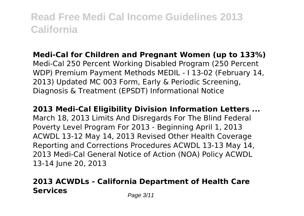#### **Medi-Cal for Children and Pregnant Women (up to 133%)** Medi-Cal 250 Percent Working Disabled Program (250 Percent WDP) Premium Payment Methods MEDIL - I 13-02 (February 14, 2013) Updated MC 003 Form, Early & Periodic Screening,

Diagnosis & Treatment (EPSDT) Informational Notice

#### **2013 Medi-Cal Eligibility Division Information Letters ...**

March 18, 2013 Limits And Disregards For The Blind Federal Poverty Level Program For 2013 - Beginning April 1, 2013 ACWDL 13-12 May 14, 2013 Revised Other Health Coverage Reporting and Corrections Procedures ACWDL 13-13 May 14, 2013 Medi-Cal General Notice of Action (NOA) Policy ACWDL 13-14 June 20, 2013

### **2013 ACWDLs - California Department of Health Care Services** Page 3/11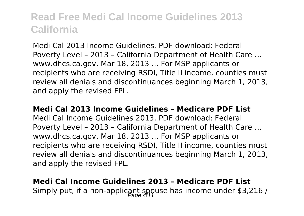Medi Cal 2013 Income Guidelines. PDF download: Federal Poverty Level – 2013 – California Department of Health Care … www.dhcs.ca.gov. Mar 18, 2013 … For MSP applicants or recipients who are receiving RSDI, Title II income, counties must review all denials and discontinuances beginning March 1, 2013, and apply the revised FPL.

#### **Medi Cal 2013 Income Guidelines – Medicare PDF List**

Medi Cal Income Guidelines 2013. PDF download: Federal Poverty Level – 2013 – California Department of Health Care … www.dhcs.ca.gov. Mar 18, 2013 … For MSP applicants or recipients who are receiving RSDI, Title II income, counties must review all denials and discontinuances beginning March 1, 2013, and apply the revised FPL.

### **Medi Cal Income Guidelines 2013 – Medicare PDF List** Simply put, if a non-applicant spouse has income under \$3,216 /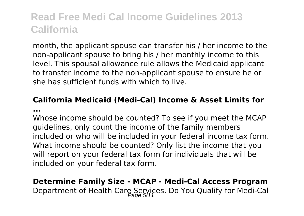month, the applicant spouse can transfer his / her income to the non-applicant spouse to bring his / her monthly income to this level. This spousal allowance rule allows the Medicaid applicant to transfer income to the non-applicant spouse to ensure he or she has sufficient funds with which to live.

# **California Medicaid (Medi-Cal) Income & Asset Limits for**

**...**

Whose income should be counted? To see if you meet the MCAP guidelines, only count the income of the family members included or who will be included in your federal income tax form. What income should be counted? Only list the income that you will report on your federal tax form for individuals that will be included on your federal tax form.

### **Determine Family Size - MCAP - Medi-Cal Access Program** Department of Health Care Services. Do You Qualify for Medi-Cal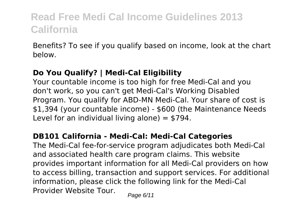Benefits? To see if you qualify based on income, look at the chart below.

#### **Do You Qualify? | Medi-Cal Eligibility**

Your countable income is too high for free Medi-Cal and you don't work, so you can't get Medi-Cal's Working Disabled Program. You qualify for ABD-MN Medi-Cal. Your share of cost is \$1,394 (your countable income) - \$600 (the Maintenance Needs Level for an individual living alone)  $=$  \$794.

#### **DB101 California - Medi-Cal: Medi-Cal Categories**

The Medi-Cal fee-for-service program adjudicates both Medi-Cal and associated health care program claims. This website provides important information for all Medi-Cal providers on how to access billing, transaction and support services. For additional information, please click the following link for the Medi-Cal Provider Website Tour.  $P_{\text{face 6/11}}$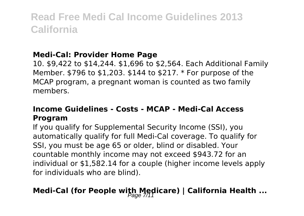#### **Medi-Cal: Provider Home Page**

10. \$9,422 to \$14,244. \$1,696 to \$2,564. Each Additional Family Member. \$796 to \$1,203. \$144 to \$217. \* For purpose of the MCAP program, a pregnant woman is counted as two family members.

#### **Income Guidelines - Costs - MCAP - Medi-Cal Access Program**

If you qualify for Supplemental Security Income (SSI), you automatically qualify for full Medi-Cal coverage. To qualify for SSI, you must be age 65 or older, blind or disabled. Your countable monthly income may not exceed \$943.72 for an individual or \$1,582.14 for a couple (higher income levels apply for individuals who are blind).

# **Medi-Cal (for People with Medicare) | California Health ...**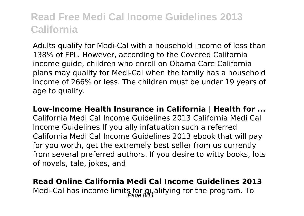Adults qualify for Medi-Cal with a household income of less than 138% of FPL. However, according to the Covered California income guide, children who enroll on Obama Care California plans may qualify for Medi-Cal when the family has a household income of 266% or less. The children must be under 19 years of age to qualify.

**Low-Income Health Insurance in California | Health for ...** California Medi Cal Income Guidelines 2013 California Medi Cal Income Guidelines If you ally infatuation such a referred California Medi Cal Income Guidelines 2013 ebook that will pay for you worth, get the extremely best seller from us currently from several preferred authors. If you desire to witty books, lots of novels, tale, jokes, and

### **Read Online California Medi Cal Income Guidelines 2013** Medi-Cal has income limits for qualifying for the program. To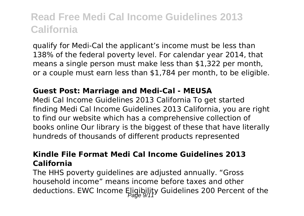qualify for Medi-Cal the applicant's income must be less than 138% of the federal poverty level. For calendar year 2014, that means a single person must make less than \$1,322 per month, or a couple must earn less than \$1,784 per month, to be eligible.

#### **Guest Post: Marriage and Medi-Cal - MEUSA**

Medi Cal Income Guidelines 2013 California To get started finding Medi Cal Income Guidelines 2013 California, you are right to find our website which has a comprehensive collection of books online Our library is the biggest of these that have literally hundreds of thousands of different products represented

#### **Kindle File Format Medi Cal Income Guidelines 2013 California**

The HHS poverty guidelines are adjusted annually. "Gross household income" means income before taxes and other deductions. EWC Income Eligibility Guidelines 200 Percent of the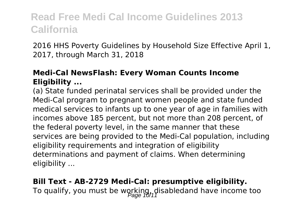2016 HHS Poverty Guidelines by Household Size Effective April 1, 2017, through March 31, 2018

#### **Medi-Cal NewsFlash: Every Woman Counts Income Eligibility ...**

(a) State funded perinatal services shall be provided under the Medi-Cal program to pregnant women people and state funded medical services to infants up to one year of age in families with incomes above 185 percent, but not more than 208 percent, of the federal poverty level, in the same manner that these services are being provided to the Medi-Cal population, including eligibility requirements and integration of eligibility determinations and payment of claims. When determining eligibility ...

**Bill Text - AB-2729 Medi-Cal: presumptive eligibility.** To qualify, you must be working, disabledand have income too